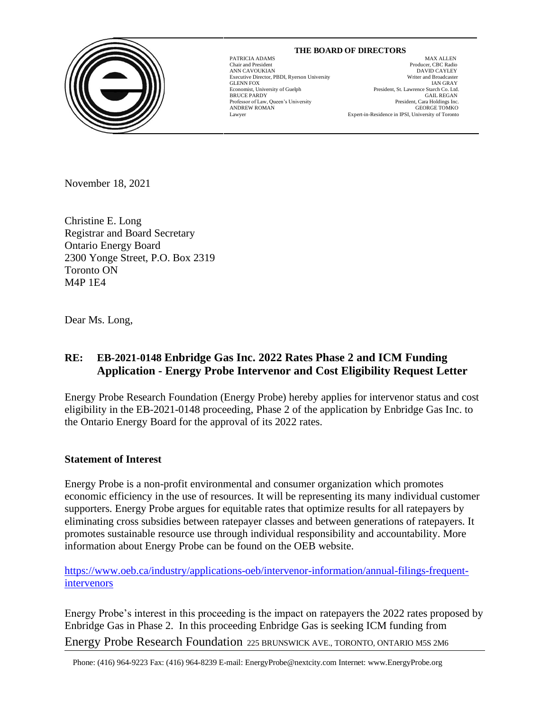

# **THE BOARD OF DIRECTORS**

GLENN FOX

 $\overline{\phantom{a}}$ 

MAX ALLEN Chair and President Producer, CBC Radio ANN CAVOUKIAN<br>
Executive Director. PBDI. Ryerson University<br>
Executive Director. PBDI. Ryerson University<br>
Uniter and Broadcaster Executive Director, PBDI, Ryerson University Writer and Broadcaster Economist, University of Guelph President, St. Lawrence Starch Co. Ltd. BRUCE PARDY GAIL REGAN Professor of Law, Queen's University **Example 2018** President, Cara Holdings Inc. Professor of Law, Queen's University President, Cara Holdings Inc.<br>ANDREW ROMAN GEORGE TOMKO ANDREW ROMAN GEORGE TOMKO Lawyer Expert-in-Residence in IPSI, University of Toronto

November 18 , 2021

Christine E. Long Registrar and Board Secretary Ontario Energy Board 2300 Yonge Street, P.O. Box 2319 Toronto ON M4P 1E4

Dear Ms. Long,

## **RE: EB-2021-0148 Enbridge Gas Inc. 2022 Rates Phase 2 and ICM Funding Application - Energy Probe Intervenor and Cost Eligibility Request Letter**

Energy Probe Research Foundation (Energy Probe) hereby applies for intervenor status and cost eligibility in the EB-2021-0148 proceeding, Phase 2 of the application by Enbridge Gas Inc. to the Ontario Energy Board for the approval of its 2022 rates.

#### **Statement of Interest**

Energy Probe is a non-profit environmental and consumer organization which promotes economic efficiency in the use of resources. It will be representing its many individual customer supporters. Energy Probe argues for equitable rates that optimize results for all ratepayers by eliminating cross subsidies between ratepayer classes and between generations of ratepayers. It promotes sustainable resource use through individual responsibility and accountability. More information about Energy Probe can be found on the OEB website.

[https://www.oeb.ca/industry/applications-oeb/intervenor-information/annual-filings-frequent](https://www.oeb.ca/industry/applications-oeb/intervenor-information/annual-filings-frequent-intervenors)[intervenors](https://www.oeb.ca/industry/applications-oeb/intervenor-information/annual-filings-frequent-intervenors)

Energy Probe Research Foundation 225 BRUNSWICK AVE., TORONTO, ONTARIO M5S 2M6 Energy Probe's interest in this proceeding is the impact on ratepayers the 2022 rates proposed by Enbridge Gas in Phase 2. In this proceeding Enbridge Gas is seeking ICM funding from

Phone: (416) 964-9223 Fax: (416) 964-8239 E-mail: EnergyProbe@nextcity.com Internet: www.EnergyProbe.org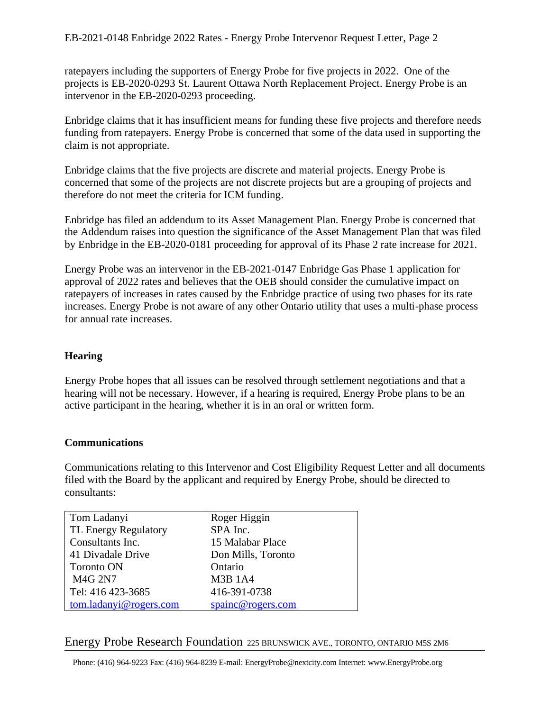ratepayers including the supporters of Energy Probe for five projects in 2022. One of the projects is EB-2020-0293 St. Laurent Ottawa North Replacement Project. Energy Probe is an intervenor in the EB-2020-0293 proceeding.

Enbridge claims that it has insufficient means for funding these five projects and therefore needs funding from ratepayers. Energy Probe is concerned that some of the data used in supporting the claim is not appropriate.

Enbridge claims that the five projects are discrete and material projects. Energy Probe is concerned that some of the projects are not discrete projects but are a grouping of projects and therefore do not meet the criteria for ICM funding.

Enbridge has filed an addendum to its Asset Management Plan. Energy Probe is concerned that the Addendum raises into question the significance of the Asset Management Plan that was filed by Enbridge in the EB-2020-0181 proceeding for approval of its Phase 2 rate increase for 2021.

Energy Probe was an intervenor in the EB-2021-0147 Enbridge Gas Phase 1 application for approval of 2022 rates and believes that the OEB should consider the cumulative impact on ratepayers of increases in rates caused by the Enbridge practice of using two phases for its rate increases. Energy Probe is not aware of any other Ontario utility that uses a multi-phase process for annual rate increases.

## **Hearing**

Energy Probe hopes that all issues can be resolved through settlement negotiations and that a hearing will not be necessary. However, if a hearing is required, Energy Probe plans to be an active participant in the hearing, whether it is in an oral or written form.

## **Communications**

Communications relating to this Intervenor and Cost Eligibility Request Letter and all documents filed with the Board by the applicant and required by Energy Probe, should be directed to consultants:

| Tom Ladanyi            | Roger Higgin       |
|------------------------|--------------------|
| TL Energy Regulatory   | SPA Inc.           |
| Consultants Inc.       | 15 Malabar Place   |
| 41 Divadale Drive      | Don Mills, Toronto |
| <b>Toronto ON</b>      | Ontario            |
| <b>M4G 2N7</b>         | <b>M3B 1A4</b>     |
| Tel: 416 423-3685      | 416-391-0738       |
| tom.ladanyi@rogers.com | spainc@rogers.com  |

#### Energy Probe Research Foundation 225 BRUNSWICK AVE., TORONTO, ONTARIO M5S 2M6